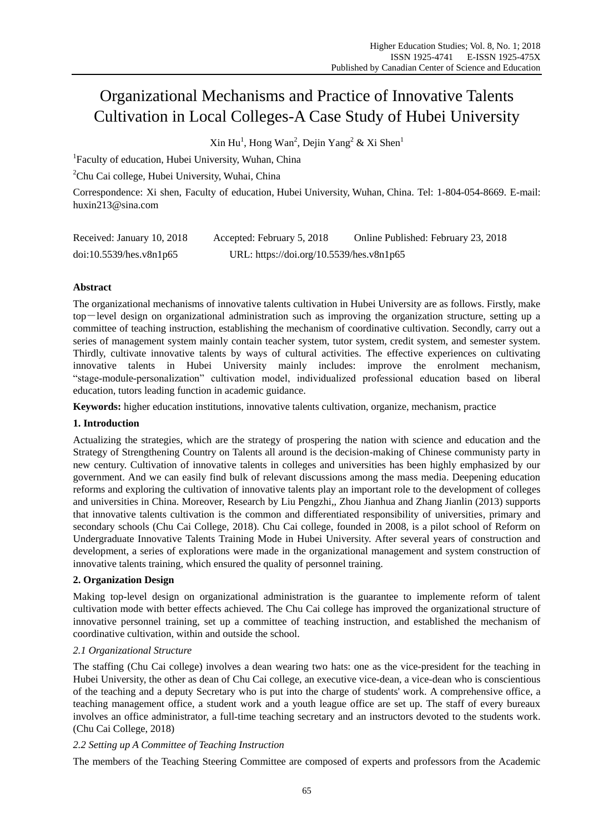# Organizational Mechanisms and Practice of Innovative Talents Cultivation in Local Colleges-A Case Study of Hubei University

 $\text{Xin Hu}^1$ , Hong Wan<sup>2</sup>, Dejin Yang<sup>2</sup> & Xi Shen<sup>1</sup>

<sup>1</sup>Faculty of education, Hubei University, Wuhan, China

<sup>2</sup>Chu Cai college, Hubei University, Wuhai, China

Correspondence: Xi shen, Faculty of education, Hubei University, Wuhan, China. Tel: 1-804-054-8669. E-mail: huxin213@sina.com

| Received: January 10, 2018 | Accepted: February 5, 2018               | Online Published: February 23, 2018 |
|----------------------------|------------------------------------------|-------------------------------------|
| doi:10.5539/hes.v8n1p65    | URL: https://doi.org/10.5539/hes.v8n1p65 |                                     |

# **Abstract**

The organizational mechanisms of innovative talents cultivation in Hubei University are as follows. Firstly, make top-level design on organizational administration such as improving the organization structure, setting up a committee of teaching instruction, establishing the mechanism of coordinative cultivation. Secondly, carry out a series of management system mainly contain teacher system, tutor system, credit system, and semester system. Thirdly, cultivate innovative talents by ways of cultural activities. The effective experiences on cultivating innovative talents in Hubei University mainly includes: improve the enrolment mechanism, "stage-module-personalization" cultivation model, individualized professional education based on liberal education, tutors leading function in academic guidance.

**Keywords:** higher education institutions, innovative talents cultivation, organize, mechanism, practice

# **1. Introduction**

Actualizing the strategies, which are the strategy of prospering the nation with science and education and the Strategy of Strengthening Country on Talents all around is the decision-making of Chinese communisty party in new century. Cultivation of innovative talents in colleges and universities has been highly emphasized by our government. And we can easily find bulk of relevant discussions among the mass media. Deepening education reforms and exploring the cultivation of innovative talents play an important role to the development of colleges and universities in China. Moreover, Research by Liu Pengzhi,, Zhou Jianhua and Zhang Jianlin (2013) supports that innovative talents cultivation is the common and differentiated responsibility of universities, primary and secondary schools (Chu Cai College, 2018). Chu Cai college, founded in 2008, is a pilot school of Reform on Undergraduate Innovative Talents Training Mode in Hubei University. After several years of construction and development, a series of explorations were made in the organizational management and system construction of innovative talents training, which ensured the quality of personnel training.

# **2. Organization Design**

Making top-level design on organizational administration is the guarantee to implemente reform of talent cultivation mode with better effects achieved. The Chu Cai college has improved the organizational structure of innovative personnel training, set up a committee of teaching instruction, and established the mechanism of coordinative cultivation, within and outside the school.

# *2.1 Organizational Structure*

The staffing (Chu Cai college) involves a dean wearing two hats: one as the vice-president for the teaching in Hubei University, the other as dean of Chu Cai college, an executive vice-dean, a vice-dean who is conscientious of the teaching and a deputy Secretary who is put into the charge of students' work. A comprehensive office, a teaching management office, a student work and a youth league office are set up. The staff of every bureaux involves an office administrator, a full-time teaching secretary and an instructors devoted to the students work. (Chu Cai College, 2018)

# *2.2 Setting up A Committee of Teaching Instruction*

The members of the Teaching Steering Committee are composed of experts and professors from the Academic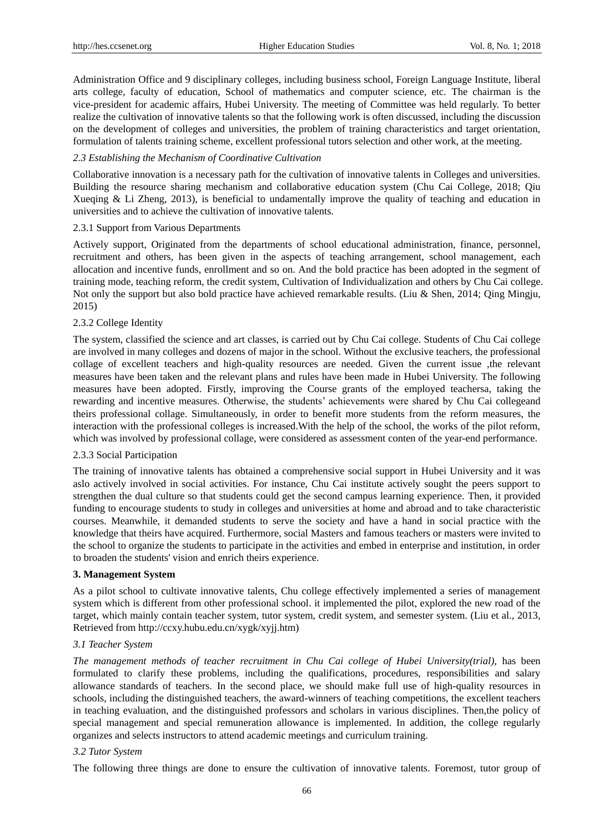Administration Office and 9 disciplinary colleges, including business school, Foreign Language Institute, liberal arts college, faculty of education, School of mathematics and computer science, etc. The chairman is the vice-president for academic affairs, Hubei University. The meeting of Committee was held regularly. To better realize the cultivation of innovative talents so that the following work is often discussed, including the discussion on the development of colleges and universities, the problem of training characteristics and target orientation, formulation of talents training scheme, excellent professional tutors selection and other work, at the meeting.

#### *2.3 Establishing the Mechanism of Coordinative Cultivation*

Collaborative innovation is a necessary path for the cultivation of innovative talents in Colleges and universities. Building the resource sharing mechanism and collaborative education system (Chu Cai College, 2018; Qiu Xueqing & Li Zheng, 2013), is beneficial to undamentally improve the quality of teaching and education in universities and to achieve the cultivation of innovative talents.

#### 2.3.1 Support from Various Departments

Actively support, Originated from the departments of school educational administration, finance, personnel, recruitment and others, has been given in the aspects of teaching arrangement, school management, each allocation and incentive funds, enrollment and so on. And the bold practice has been adopted in the segment of training mode, teaching reform, the credit system, Cultivation of Individualization and others by Chu Cai college. Not only the support but also bold practice have achieved remarkable results. (Liu & Shen, 2014; Qing Mingju, 2015)

#### 2.3.2 College Identity

The system, classified the science and art classes, is carried out by Chu Cai college. Students of Chu Cai college are involved in many colleges and dozens of major in the school. Without the exclusive teachers, the professional collage of excellent teachers and high-quality resources are needed. Given the current issue ,the relevant measures have been taken and the relevant plans and rules have been made in Hubei University. The following measures have been adopted. Firstly, improving the Course grants of the employed teachersa, taking the rewarding and incentive measures. Otherwise, the students' achievements were shared by Chu Cai collegeand theirs professional collage. Simultaneously, in order to benefit more students from the reform measures, the interaction with the professional colleges is increased.With the help of the school, the works of the pilot reform, which was involved by professional collage, were considered as assessment conten of the year-end performance.

#### 2.3.3 Social Participation

The training of innovative talents has obtained a comprehensive social support in Hubei University and it was aslo actively involved in social activities. For instance, Chu Cai institute actively sought the peers support to strengthen the dual culture so that students could get the second campus learning experience. Then, it provided funding to encourage students to study in colleges and universities at home and abroad and to take characteristic courses. Meanwhile, it demanded students to serve the society and have a hand in social practice with the knowledge that theirs have acquired. Furthermore, social Masters and famous teachers or masters were invited to the school to organize the students to participate in the activities and embed in enterprise and institution, in order to broaden the students' vision and enrich theirs experience.

#### **3. Management System**

As a pilot school to cultivate innovative talents, Chu college effectively implemented a series of management system which is different from other professional school. it implemented the pilot, explored the new road of the target, which mainly contain teacher system, tutor system, credit system, and semester system. (Liu et al., 2013, Retrieved from http://ccxy.hubu.edu.cn/xygk/xyjj.htm)

#### *3.1 Teacher System*

*The management methods of teacher recruitment in Chu Cai college of Hubei University(trial),* has been formulated to clarify these problems, including the qualifications, procedures, responsibilities and salary allowance standards of teachers. In the second place, we should make full use of high-quality resources in schools, including the distinguished teachers, the award-winners of teaching competitions, the excellent teachers in teaching evaluation, and the distinguished professors and scholars in various disciplines. Then,the policy of special management and special remuneration allowance is implemented. In addition, the college regularly organizes and selects instructors to attend academic meetings and curriculum training.

#### *3.2 Tutor System*

The following three things are done to ensure the cultivation of innovative talents. Foremost, tutor group of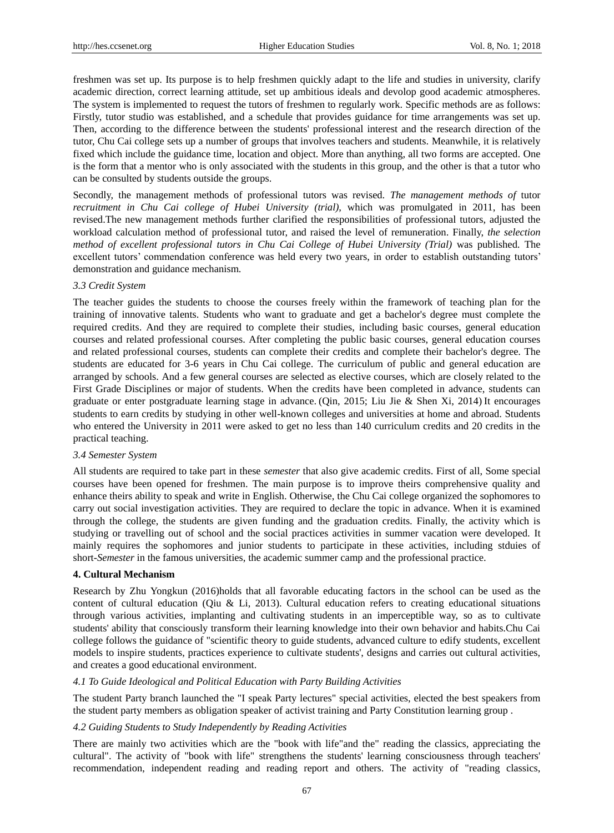freshmen was set up. Its purpose is to help freshmen quickly adapt to the life and studies in university, clarify academic direction, correct learning attitude, set up ambitious ideals and devolop good academic atmospheres. The system is implemented to request the tutors of freshmen to regularly work. Specific methods are as follows: Firstly, tutor studio was established, and a schedule that provides guidance for time arrangements was set up. Then, according to the difference between the students' professional interest and the research direction of the tutor, Chu Cai college sets up a number of groups that involves teachers and students. Meanwhile, it is relatively fixed which include the guidance time, location and object. More than anything, all two forms are accepted. One is the form that a mentor who is only associated with the students in this group, and the other is that a tutor who can be consulted by students outside the groups.

Secondly, the management methods of professional tutors was revised. *The management methods of* tutor *recruitment in Chu Cai college of Hubei University (trial),* which was promulgated in 2011, has been revised.The new management methods further clarified the responsibilities of professional tutors, adjusted the workload calculation method of professional tutor, and raised the level of remuneration. Finally, *the selection method of excellent professional tutors in Chu Cai College of Hubei University (Trial)* was published. The excellent tutors' commendation conference was held every two years, in order to establish outstanding tutors' demonstration and guidance mechanism.

#### *3.3 Credit System*

The teacher guides the students to choose the courses freely within the framework of teaching plan for the training of innovative talents. Students who want to graduate and get a bachelor's degree must complete the required credits. And they are required to complete their studies, including basic courses, general education courses and related professional courses. After completing the public basic courses, general education courses and related professional courses, students can complete their credits and complete their bachelor's degree. The students are educated for 3-6 years in Chu Cai college. The curriculum of public and general education are arranged by schools. And a few general courses are selected as elective courses, which are closely related to the First Grade Disciplines or major of students. When the credits have been completed in advance, students can graduate or enter postgraduate learning stage in advance. (Qin, 2015; Liu Jie & Shen Xi, 2014) It encourages students to earn credits by studying in other well-known colleges and universities at home and abroad. Students who entered the University in 2011 were asked to get no less than 140 curriculum credits and 20 credits in the practical teaching.

#### *3.4 Semester System*

All students are required to take part in these *semester* that also give academic credits. First of all, Some special courses have been opened for freshmen. The main purpose is to improve theirs comprehensive quality and enhance theirs ability to speak and write in English. Otherwise, the Chu Cai college organized the sophomores to carry out social investigation activities. They are required to declare the topic in advance. When it is examined through the college, the students are given funding and the graduation credits. Finally, the activity which is studying or travelling out of school and the social practices activities in summer vacation were developed. It mainly requires the sophomores and junior students to participate in these activities, including stduies of short-*Semester* in the famous universities, the academic summer camp and the professional practice.

## **4. Cultural Mechanism**

Research by Zhu Yongkun (2016)holds that all favorable educating factors in the school can be used as the content of cultural education (Qiu & Li, 2013). Cultural education refers to creating educational situations through various activities, implanting and cultivating students in an imperceptible way, so as to cultivate students' ability that consciously transform their learning knowledge into their own behavior and habits.Chu Cai college follows the guidance of "scientific theory to guide students, advanced culture to edify students, excellent models to inspire students, practices experience to cultivate students', designs and carries out cultural activities, and creates a good educational environment.

## *4.1 To Guide Ideological and Political Education with Party Building Activities*

The student Party branch launched the "I speak Party lectures" special activities, elected the best speakers from the student party members as obligation speaker of activist training and Party Constitution learning group .

#### *4.2 Guiding Students to Study Independently by Reading Activities*

There are mainly two activities which are the "book with life"and the" reading the classics, appreciating the cultural". The activity of "book with life" strengthens the students' learning consciousness through teachers' recommendation, independent reading and reading report and others. The activity of "reading classics,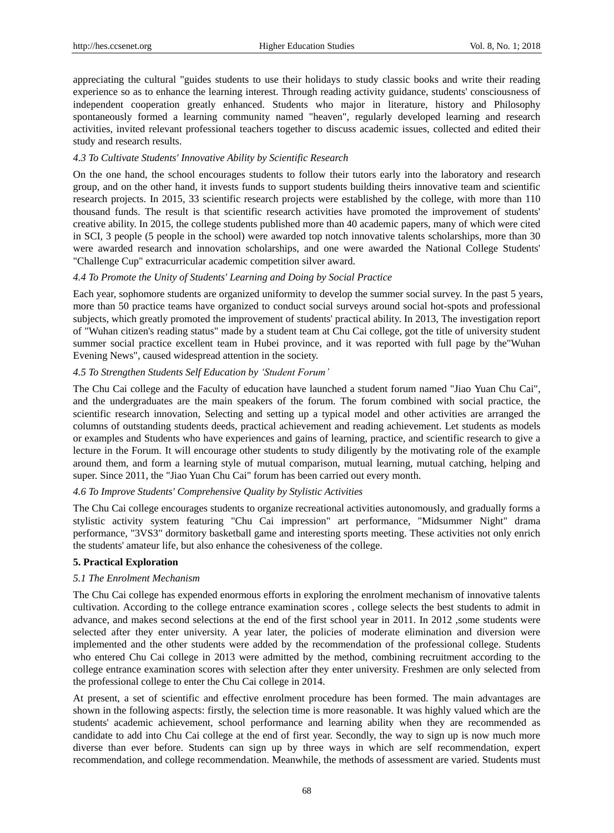appreciating the cultural "guides students to use their holidays to study classic books and write their reading experience so as to enhance the learning interest. Through reading activity guidance, students' consciousness of independent cooperation greatly enhanced. Students who major in literature, history and Philosophy spontaneously formed a learning community named "heaven", regularly developed learning and research activities, invited relevant professional teachers together to discuss academic issues, collected and edited their study and research results.

## *4.3 To Cultivate Students' Innovative Ability by Scientific Research*

On the one hand, the school encourages students to follow their tutors early into the laboratory and research group, and on the other hand, it invests funds to support students building theirs innovative team and scientific research projects. In 2015, 33 scientific research projects were established by the college, with more than 110 thousand funds. The result is that scientific research activities have promoted the improvement of students' creative ability. In 2015, the college students published more than 40 academic papers, many of which were cited in SCI, 3 people (5 people in the school) were awarded top notch innovative talents scholarships, more than 30 were awarded research and innovation scholarships, and one were awarded the National College Students' "Challenge Cup" extracurricular academic competition silver award.

## *4.4 To Promote the Unity of Students' Learning and Doing by Social Practice*

Each year, sophomore students are organized uniformity to develop the summer social survey. In the past 5 years, more than 50 practice teams have organized to conduct social surveys around social hot-spots and professional subjects, which greatly promoted the improvement of students' practical ability. In 2013, The investigation report of "Wuhan citizen's reading status" made by a student team at Chu Cai college, got the title of university student summer social practice excellent team in Hubei province, and it was reported with full page by the"Wuhan Evening News", caused widespread attention in the society.

## *4.5 To Strengthen Students Self Education by 'Student Forum'*

The Chu Cai college and the Faculty of education have launched a student forum named "Jiao Yuan Chu Cai", and the undergraduates are the main speakers of the forum. The forum combined with social practice, the scientific research innovation, Selecting and setting up a typical model and other activities are arranged the columns of outstanding students deeds, practical achievement and reading achievement. Let students as models or examples and Students who have experiences and gains of learning, practice, and scientific research to give a lecture in the Forum. It will encourage other students to study diligently by the motivating role of the example around them, and form a learning style of mutual comparison, mutual learning, mutual catching, helping and super. Since 2011, the "Jiao Yuan Chu Cai" forum has been carried out every month.

## *4.6 To Improve Students' Comprehensive Quality by Stylistic Activities*

The Chu Cai college encourages students to organize recreational activities autonomously, and gradually forms a stylistic activity system featuring "Chu Cai impression" art performance, "Midsummer Night" drama performance, "3VS3" dormitory basketball game and interesting sports meeting. These activities not only enrich the students' amateur life, but also enhance the cohesiveness of the college.

## **5. Practical Exploration**

## *5.1 The Enrolment Mechanism*

The Chu Cai college has expended enormous efforts in exploring the enrolment mechanism of innovative talents cultivation. According to the college entrance examination scores , college selects the best students to admit in advance, and makes second selections at the end of the first school year in 2011. In 2012 ,some students were selected after they enter university. A year later, the policies of moderate elimination and diversion were implemented and the other students were added by the recommendation of the professional college. Students who entered Chu Cai college in 2013 were admitted by the method, combining recruitment according to the college entrance examination scores with selection after they enter university. Freshmen are only selected from the professional college to enter the Chu Cai college in 2014.

At present, a set of scientific and effective enrolment procedure has been formed. The main advantages are shown in the following aspects: firstly, the selection time is more reasonable. It was highly valued which are the students' academic achievement, school performance and learning ability when they are recommended as candidate to add into Chu Cai college at the end of first year. Secondly, the way to sign up is now much more diverse than ever before. Students can sign up by three ways in which are self recommendation, expert recommendation, and college recommendation. Meanwhile, the methods of assessment are varied. Students must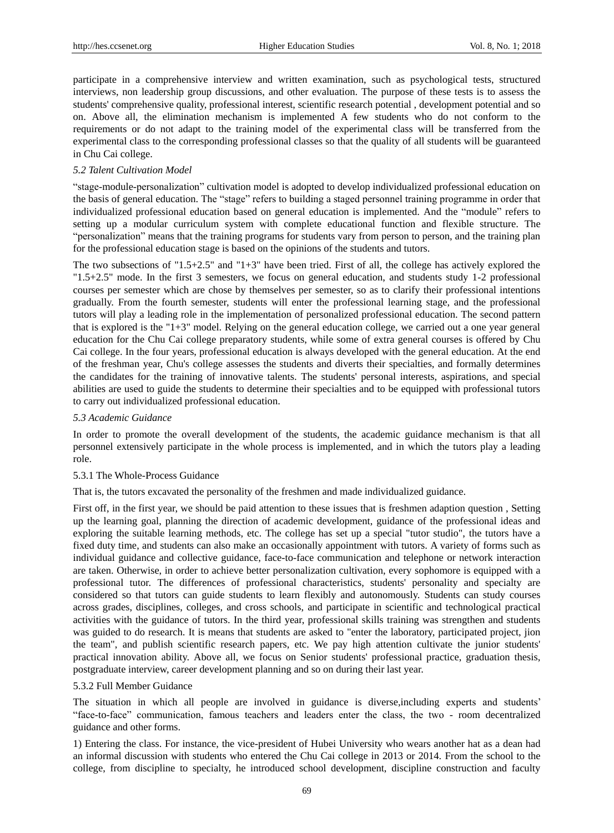participate in a comprehensive interview and written examination, such as psychological tests, structured interviews, non leadership group discussions, and other evaluation. The purpose of these tests is to assess the students' comprehensive quality, professional interest, scientific research potential , development potential and so on. Above all, the elimination mechanism is implemented A few students who do not conform to the requirements or do not adapt to the training model of the experimental class will be transferred from the experimental class to the corresponding professional classes so that the quality of all students will be guaranteed in Chu Cai college.

## *5.2 Talent Cultivation Model*

"stage-module-personalization" cultivation model is adopted to develop individualized professional education on the basis of general education. The "stage" refers to building a staged personnel training programme in order that individualized professional education based on general education is implemented. And the "module" refers to setting up a modular curriculum system with complete educational function and flexible structure. The "personalization" means that the training programs for students vary from person to person, and the training plan for the professional education stage is based on the opinions of the students and tutors.

The two subsections of "1.5+2.5" and "1+3" have been tried. First of all, the college has actively explored the "1.5+2.5" mode. In the first 3 semesters, we focus on general education, and students study 1-2 professional courses per semester which are chose by themselves per semester, so as to clarify their professional intentions gradually. From the fourth semester, students will enter the professional learning stage, and the professional tutors will play a leading role in the implementation of personalized professional education. The second pattern that is explored is the "1+3" model. Relying on the general education college, we carried out a one year general education for the Chu Cai college preparatory students, while some of extra general courses is offered by Chu Cai college. In the four years, professional education is always developed with the general education. At the end of the freshman year, Chu's college assesses the students and diverts their specialties, and formally determines the candidates for the training of innovative talents. The students' personal interests, aspirations, and special abilities are used to guide the students to determine their specialties and to be equipped with professional tutors to carry out individualized professional education.

## *5.3 Academic Guidance*

In order to promote the overall development of the students, the academic guidance mechanism is that all personnel extensively participate in the whole process is implemented, and in which the tutors play a leading role.

## 5.3.1 The Whole-Process Guidance

That is, the tutors excavated the personality of the freshmen and made individualized guidance.

First off, in the first year, we should be paid attention to these issues that is freshmen adaption question , Setting up the learning goal, planning the direction of academic development, guidance of the professional ideas and exploring the suitable learning methods, etc. The college has set up a special "tutor studio", the tutors have a fixed duty time, and students can also make an occasionally appointment with tutors. A variety of forms such as individual guidance and collective guidance, face-to-face communication and telephone or network interaction are taken. Otherwise, in order to achieve better personalization cultivation, every sophomore is equipped with a professional tutor. The differences of professional characteristics, students' personality and specialty are considered so that tutors can guide students to learn flexibly and autonomously. Students can study courses across grades, disciplines, colleges, and cross schools, and participate in scientific and technological practical activities with the guidance of tutors. In the third year, professional skills training was strengthen and students was guided to do research. It is means that students are asked to "enter the laboratory, participated project, jion the team", and publish scientific research papers, etc. We pay high attention cultivate the junior students' practical innovation ability. Above all, we focus on Senior students' professional practice, graduation thesis, postgraduate interview, career development planning and so on during their last year.

## 5.3.2 Full Member Guidance

The situation in which all people are involved in guidance is diverse,including experts and students' "face-to-face" communication, famous teachers and leaders enter the class, the two - room decentralized guidance and other forms.

1) Entering the class. For instance, the vice-president of Hubei University who wears another hat as a dean had an informal discussion with students who entered the Chu Cai college in 2013 or 2014. From the school to the college, from discipline to specialty, he introduced school development, discipline construction and faculty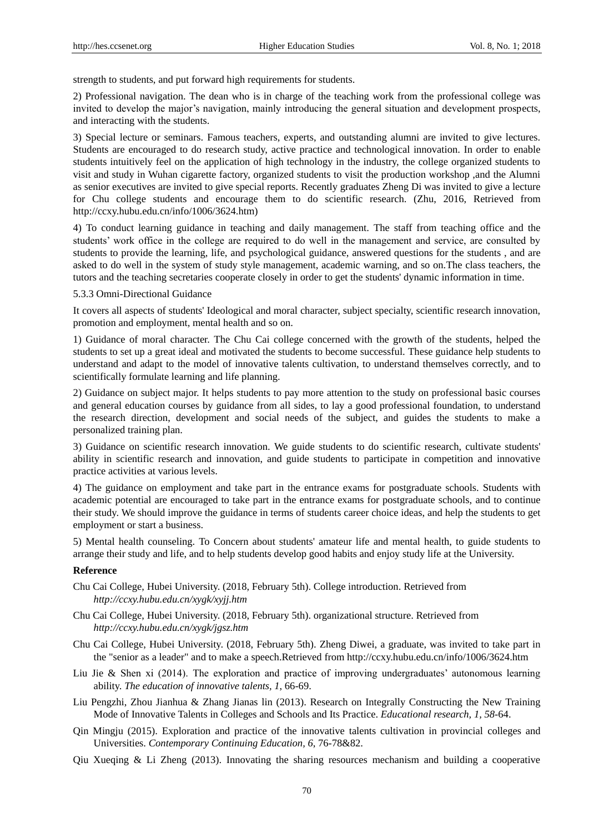strength to students, and put forward high requirements for students.

2) Professional navigation. The dean who is in charge of the teaching work from the professional college was invited to develop the major's navigation, mainly introducing the general situation and development prospects, and interacting with the students.

3) Special lecture or seminars. Famous teachers, experts, and outstanding alumni are invited to give lectures. Students are encouraged to do research study, active practice and technological innovation. In order to enable students intuitively feel on the application of high technology in the industry, the college organized students to visit and study in Wuhan cigarette factory, organized students to visit the production workshop ,and the Alumni as senior executives are invited to give special reports. Recently graduates Zheng Di was invited to give a lecture for Chu college students and encourage them to do scientific research. (Zhu, 2016, Retrieved from http://ccxy.hubu.edu.cn/info/1006/3624.htm)

4) To conduct learning guidance in teaching and daily management. The staff from teaching office and the students' work office in the college are required to do well in the management and service, are consulted by students to provide the learning, life, and psychological guidance, answered questions for the students , and are asked to do well in the system of study style management, academic warning, and so on.The class teachers, the tutors and the teaching secretaries cooperate closely in order to get the students' dynamic information in time.

5.3.3 Omni-Directional Guidance

It covers all aspects of students' Ideological and moral character, subject specialty, scientific research innovation, promotion and employment, mental health and so on.

1) Guidance of moral character. The Chu Cai college concerned with the growth of the students, helped the students to set up a great ideal and motivated the students to become successful. These guidance help students to understand and adapt to the model of innovative talents cultivation, to understand themselves correctly, and to scientifically formulate learning and life planning.

2) Guidance on subject major. It helps students to pay more attention to the study on professional basic courses and general education courses by guidance from all sides, to lay a good professional foundation, to understand the research direction, development and social needs of the subject, and guides the students to make a personalized training plan.

3) Guidance on scientific research innovation. We guide students to do scientific research, cultivate students' ability in scientific research and innovation, and guide students to participate in competition and innovative practice activities at various levels.

4) The guidance on employment and take part in the entrance exams for postgraduate schools. Students with academic potential are encouraged to take part in the entrance exams for postgraduate schools, and to continue their study. We should improve the guidance in terms of students career choice ideas, and help the students to get employment or start a business.

5) Mental health counseling. To Concern about students' amateur life and mental health, to guide students to arrange their study and life, and to help students develop good habits and enjoy study life at the University.

## **Reference**

- Chu Cai College, Hubei University. (2018, February 5th). College introduction. Retrieved from *http://ccxy.hubu.edu.cn/xygk/xyjj.htm*
- Chu Cai College, Hubei University. (2018, February 5th). organizational structure. Retrieved from *http://ccxy.hubu.edu.cn/xygk/jgsz.htm*
- Chu Cai College, Hubei University. (2018, February 5th). Zheng Diwei, a graduate, was invited to take part in the "senior as a leader" and to make a speech.Retrieved from http://ccxy.hubu.edu.cn/info/1006/3624.htm
- Liu Jie & Shen xi (2014). The exploration and practice of improving undergraduates' autonomous learning ability. *The education of innovative talents, 1*, 66-69.
- Liu Pengzhi, Zhou Jianhua & Zhang Jianas lin (2013). Research on Integrally Constructing the New Training Mode of Innovative Talents in Colleges and Schools and Its Practice. *Educational research, 1, 58*-64.
- Qin Mingju (2015). Exploration and practice of the innovative talents cultivation in provincial colleges and Universities. *Contemporary Continuing Education, 6*, 76-78&82.
- Qiu Xueqing & Li Zheng (2013). Innovating the sharing resources mechanism and building a cooperative